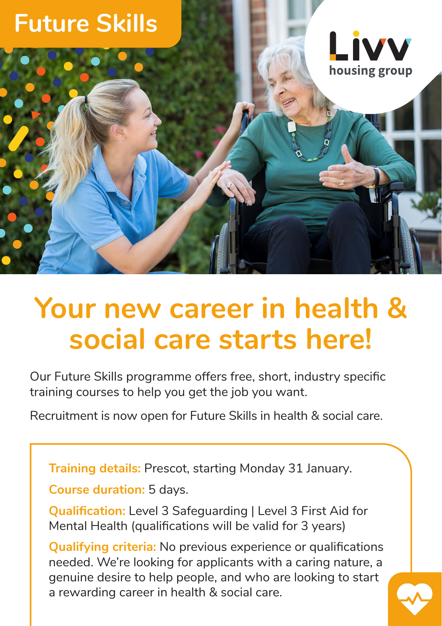

## **Your new career in health & social care starts here!**

Our Future Skills programme offers free, short, industry specific training courses to help you get the job you want.

Recruitment is now open for Future Skills in health & social care.

**Training details:** Prescot, starting Monday 31 January.

**Course duration:** 5 days.

**Qualification:** Level 3 Safeguarding I Level 3 First Aid for Mental Health (qualifications will be valid for 3 years)

**Qualifying criteria:** No previous experience or qualifications needed. We're looking for applicants with a caring nature, a genuine desire to help people, and who are looking to start a rewarding career in health & social care.